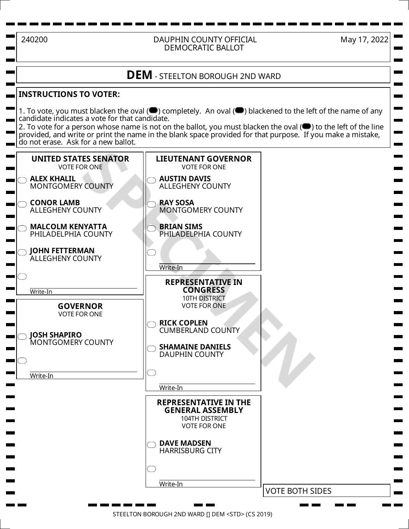## 240200 DAUPHIN COUNTY OFFICIAL DEMOCRATIC BALLOT

May 17, 2022

## **DEM** - STEELTON BOROUGH 2ND WARD

## **INSTRUCTIONS TO VOTER:**

1. To vote, you must blacken the oval  $(\blacksquare)$  completely. An oval  $(\blacksquare)$  blackened to the left of the name of any candidate indicates a vote for that candidate.

2. To vote for a person whose name is not on the ballot, you must blacken the oval  $(\blacksquare)$  to the left of the line provided, and write or print the name in the blank space provided for that purpose. If you make a mistake, do not erase. Ask for a new ballot.